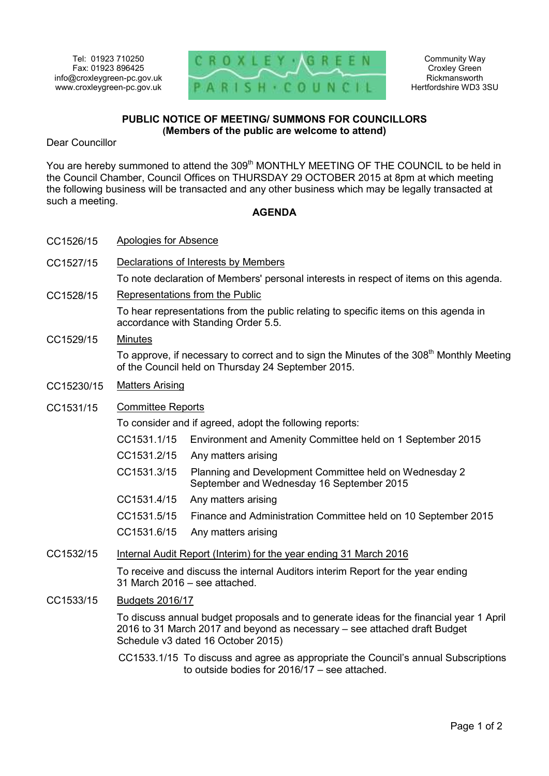

Community Way Croxley Green Rickmansworth Hertfordshire WD3 3SU

## **PUBLIC NOTICE OF MEETING/ SUMMONS FOR COUNCILLORS (Members of the public are welcome to attend)**

Dear Councillor

You are hereby summoned to attend the 309<sup>th</sup> MONTHLY MEETING OF THE COUNCIL to be held in the Council Chamber, Council Offices on THURSDAY 29 OCTOBER 2015 at 8pm at which meeting the following business will be transacted and any other business which may be legally transacted at such a meeting.

## **AGENDA**

- CC1526/15 Apologies for Absence
- CC1527/15 Declarations of Interests by Members

To note declaration of Members' personal interests in respect of items on this agenda.

CC1528/15 Representations from the Public

To hear representations from the public relating to specific items on this agenda in accordance with Standing Order 5.5.

CC1529/15 Minutes

To approve, if necessary to correct and to sign the Minutes of the 308<sup>th</sup> Monthly Meeting of the Council held on Thursday 24 September 2015.

- CC15230/15 Matters Arising
- CC1531/15 Committee Reports

To consider and if agreed, adopt the following reports:

- CC1531.1/15 Environment and Amenity Committee held on 1 September 2015
- CC1531.2/15 Any matters arising
- CC1531.3/15 Planning and Development Committee held on Wednesday 2 September and Wednesday 16 September 2015
- CC1531.4/15 Any matters arising
- CC1531.5/15 Finance and Administration Committee held on 10 September 2015
- CC1531.6/15 Any matters arising

## CC1532/15 Internal Audit Report (Interim) for the year ending 31 March 2016

To receive and discuss the internal Auditors interim Report for the year ending 31 March 2016 – see attached.

CC1533/15 Budgets 2016/17

To discuss annual budget proposals and to generate ideas for the financial year 1 April 2016 to 31 March 2017 and beyond as necessary – see attached draft Budget Schedule v3 dated 16 October 2015)

CC1533.1/15 To discuss and agree as appropriate the Council's annual Subscriptions to outside bodies for 2016/17 – see attached.